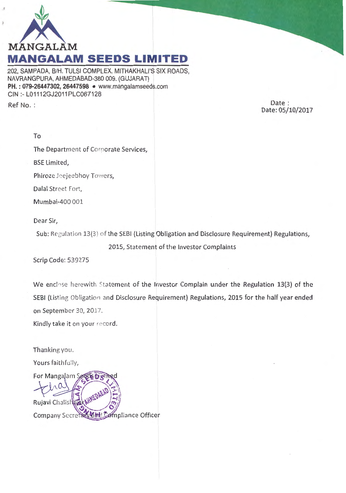

202, SAMPADA, 8/H. TULSI COMPLEX, MITHAKHALI'S SIX ROADS, NAVRANGPURA, AHMEDABAD-380 009. (GUJARAT) **PH. : 079-26447302, 26447598** • www.mangalamseeds.com CIN :- L01112GJ2011PLC067128

Ref No.:

Date: Date: 05/10/2017

The Department of Corporate Services,

BSE Limited,

Phiroze Jeejeebhoy Towers,

Dalal Street Fort,

Mumbai-400 001

Dear Sir,

Sub: Regulation 13(3) of the SEBI (Listing Obligation and Disclosure Requirement) Regulations,

2015, Statement of the Investor Complaints

Scrip Code: 539275

We enclose herewith Statement of the Investor Complain under the Regulation 13(3) of the SEBI (Listing Obligation and Disclosure Requirement) Regulations, 2015 for the half year ended on September 30, 2017.

Kindly take it on your record.

Thanking you.

Yours faithfully,

For Mangalam Se Rujavi Chalish pliance Officer **Company Secrets**